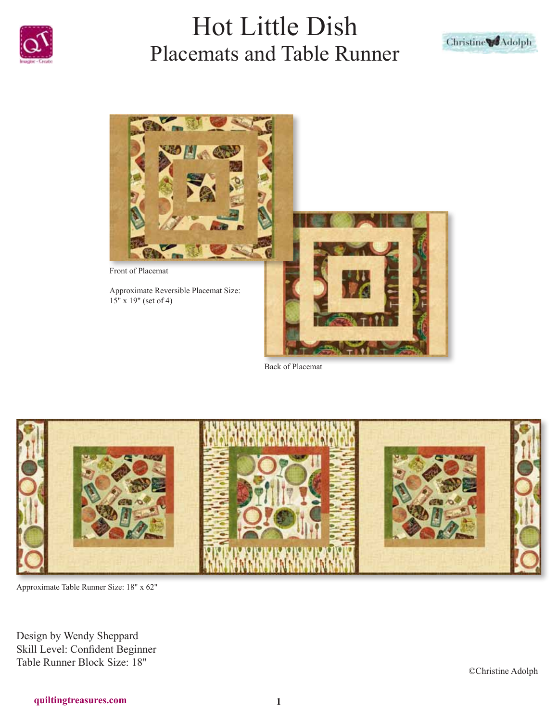





Back of Placemat



Approximate Table Runner Size: 18" x 62"

Design by Wendy Sheppard Skill Level: Confident Beginner Table Runner Block Size: 18"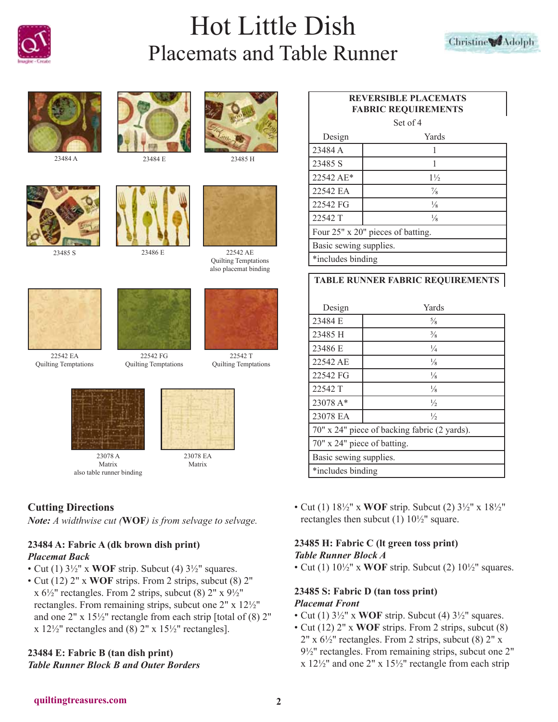







22542 EA Quilting Temptations







23485 S 23486 E 22542 AE

Quilting Temptations also placemat binding



22542 T Quilting Temptations



23078 A Matrix also table runner binding



Matrix

# **Cutting Directions**

*Note: A widthwise cut (***WOF***) is from selvage to selvage.*

22542 FG Quilting Temptations

# **23484 A: Fabric A (dk brown dish print)** *Placemat Back*

- Cut (1) 3½" x **WOF** strip. Subcut (4) 3½" squares.
- Cut (12) 2" x **WOF** strips. From 2 strips, subcut (8) 2" x  $6\frac{1}{2}$ " rectangles. From 2 strips, subcut (8)  $2$ " x  $9\frac{1}{2}$ " rectangles. From remaining strips, subcut one 2" x 12½" and one 2" x 15½" rectangle from each strip [total of (8) 2"  $x 12\frac{1}{2}$ " rectangles and (8)  $2$ "  $x 15\frac{1}{2}$ " rectangles].

#### **23484 E: Fabric B (tan dish print)** *Table Runner Block B and Outer Borders*

# **REVERSIBLE PLACEMATS FABRIC REQUIREMENTS**

Set of 4

| Design                            | Yards          |  |
|-----------------------------------|----------------|--|
| 23484 A                           |                |  |
| 23485 S                           |                |  |
| 22542 AE*                         | $1\frac{1}{2}$ |  |
| 22542 EA                          | $\frac{7}{8}$  |  |
| 22542 FG                          | $\frac{1}{8}$  |  |
| 22542 T                           | $\frac{1}{8}$  |  |
| Four 25" x 20" pieces of batting. |                |  |
| Basic sewing supplies.            |                |  |
| *includes binding                 |                |  |

### **TABLE RUNNER FABRIC REQUIREMENTS**

| Design                                       | Yards         |
|----------------------------------------------|---------------|
| 23484 E                                      | $\frac{5}{8}$ |
| 23485 H                                      | $\frac{3}{8}$ |
| 23486 E                                      | $\frac{1}{4}$ |
| 22542 AE                                     | $\frac{1}{8}$ |
| 22542 FG                                     | $\frac{1}{8}$ |
| 22542 T                                      | $\frac{1}{8}$ |
| 23078 A*                                     | $\frac{1}{2}$ |
| 23078 EA                                     | $\frac{1}{2}$ |
| 70" x 24" piece of backing fabric (2 yards). |               |
| 70" x 24" piece of batting.                  |               |
| Basic sewing supplies.                       |               |
| *includes binding                            |               |

• Cut (1) 18½" x **WOF** strip. Subcut (2) 3½" x 18½" rectangles then subcut (1) 10½" square.

# **23485 H: Fabric C (lt green toss print)** *Table Runner Block A*

• Cut (1) 10½" x **WOF** strip. Subcut (2) 10½" squares.

#### **23485 S: Fabric D (tan toss print)** *Placemat Front*

- Cut (1) 3½" x **WOF** strip. Subcut (4) 3½" squares.
- Cut (12) 2" x **WOF** strips. From 2 strips, subcut (8)  $2''$  x  $6\frac{1}{2}$ " rectangles. From 2 strips, subcut (8)  $2''$  x 9½" rectangles. From remaining strips, subcut one 2" x 12½" and one 2" x 15½" rectangle from each strip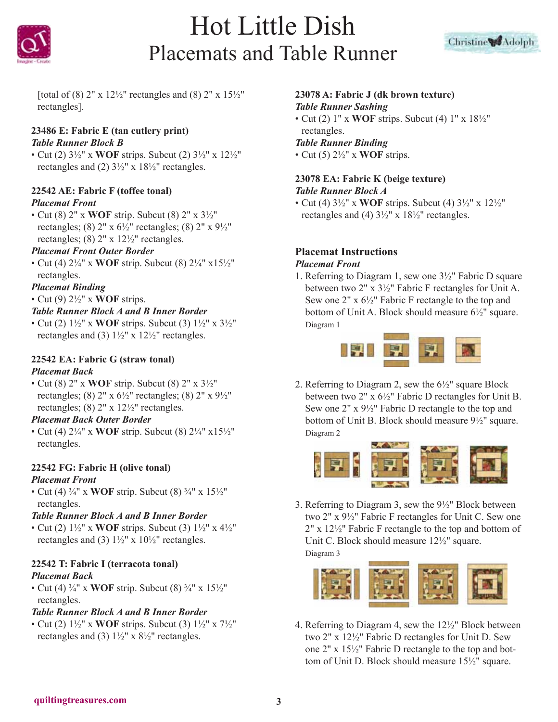



[total of (8) 2" x 12½" rectangles and (8) 2" x 15½" rectangles].

# **23486 E: Fabric E (tan cutlery print)** *Table Runner Block B*

• Cut (2) 3½" x **WOF** strips. Subcut (2) 3½" x 12½" rectangles and (2) 3½" x 18½" rectangles.

### **22542 AE: Fabric F (toffee tonal)** *Placemat Front*

• Cut (8) 2" x **WOF** strip. Subcut (8) 2" x 3½" rectangles; (8)  $2'' \times 6\frac{1}{2}$ " rectangles; (8)  $2'' \times 9\frac{1}{2}$ " rectangles; (8)  $2'' \times 12\frac{1}{2}$  rectangles.

# *Placemat Front Outer Border*

• Cut (4) 2¼" x **WOF** strip. Subcut (8) 2¼" x15½" rectangles.

# *Placemat Binding*

• Cut (9) 2½" x **WOF** strips.

# *Table Runner Block A and B Inner Border*

• Cut (2) 1½" x **WOF** strips. Subcut (3) 1½" x 3½" rectangles and (3) 1½" x 12½" rectangles.

### **22542 EA: Fabric G (straw tonal)** *Placemat Back*

• Cut (8) 2" x **WOF** strip. Subcut (8) 2" x 3½" rectangles; (8)  $2''$  x  $6\frac{1}{2}$ " rectangles; (8)  $2''$  x  $9\frac{1}{2}$ " rectangles; (8)  $2''$  x  $12\frac{1}{2}$ " rectangles.

### *Placemat Back Outer Border*

• Cut (4) 2¼" x **WOF** strip. Subcut (8) 2¼" x15½" rectangles.

### **22542 FG: Fabric H (olive tonal)** *Placemat Front*

• Cut (4) ¾" x **WOF** strip. Subcut (8) ¾" x 15½" rectangles.

# *Table Runner Block A and B Inner Border*

• Cut (2) 1½" x **WOF** strips. Subcut (3) 1½" x 4½" rectangles and (3)  $1\frac{1}{2}$ " x  $10\frac{1}{2}$ " rectangles.

# **22542 T: Fabric I (terracota tonal)** *Placemat Back*

• Cut (4) ¾" x **WOF** strip. Subcut (8) ¾" x 15½" rectangles.

# *Table Runner Block A and B Inner Border*

• Cut (2) 1½" x **WOF** strips. Subcut (3) 1½" x 7½" rectangles and (3)  $1\frac{1}{2}$ " x  $8\frac{1}{2}$ " rectangles.

# **23078 A: Fabric J (dk brown texture)**

# *Table Runner Sashing*

• Cut (2) 1" x **WOF** strips. Subcut (4) 1" x 18½" rectangles.

# *Table Runner Binding*

• Cut (5) 2½" x **WOF** strips.

# **23078 EA: Fabric K (beige texture)**

### *Table Runner Block A*

• Cut (4) 3½" x **WOF** strips. Subcut (4) 3½" x 12½" rectangles and (4) 3½" x 18½" rectangles.

#### **Placemat Instructions** *Placemat Front*

1. Referring to Diagram 1, sew one 3½" Fabric D square between two 2" x 3½" Fabric F rectangles for Unit A. Sew one 2" x 6½" Fabric F rectangle to the top and bottom of Unit A. Block should measure 6½" square. Diagram 1



2. Referring to Diagram 2, sew the 6½" square Block between two 2" x 6½" Fabric D rectangles for Unit B. Sew one 2" x 9½" Fabric D rectangle to the top and bottom of Unit B. Block should measure 9½" square. Diagram 2



3. Referring to Diagram 3, sew the 9½" Block between two 2" x 9½" Fabric F rectangles for Unit C. Sew one 2" x 12½" Fabric F rectangle to the top and bottom of Unit C. Block should measure 12½" square. Diagram 3



4. Referring to Diagram 4, sew the 12½" Block between two 2" x 12½" Fabric D rectangles for Unit D. Sew one 2" x 15½" Fabric D rectangle to the top and bottom of Unit D. Block should measure 15½" square.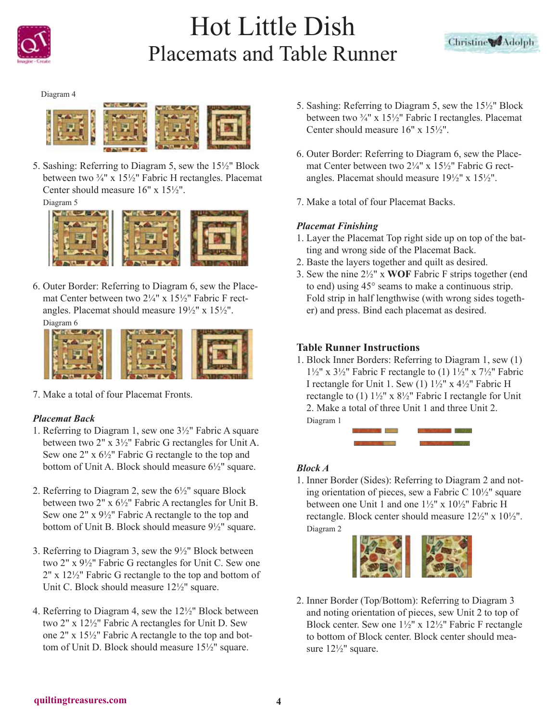



Diagram 4



5. Sashing: Referring to Diagram 5, sew the 15½" Block between two ¾" x 15½" Fabric H rectangles. Placemat Center should measure 16" x 15½".

Diagram 5



6. Outer Border: Referring to Diagram 6, sew the Placemat Center between two 2¼" x 15½" Fabric F rectangles. Placemat should measure 19½" x 15½". Diagram 6



7. Make a total of four Placemat Fronts.

### *Placemat Back*

- 1. Referring to Diagram 1, sew one 3½" Fabric A square between two 2" x 3½" Fabric G rectangles for Unit A. Sew one 2" x 6½" Fabric G rectangle to the top and bottom of Unit A. Block should measure 6½" square.
- 2. Referring to Diagram 2, sew the 6½" square Block between two 2" x 6½" Fabric A rectangles for Unit B. Sew one 2" x 9½" Fabric A rectangle to the top and bottom of Unit B. Block should measure 9½" square.
- 3. Referring to Diagram 3, sew the 9½" Block between two 2" x 9½" Fabric G rectangles for Unit C. Sew one 2" x 12½" Fabric G rectangle to the top and bottom of Unit C. Block should measure 12½" square.
- 4. Referring to Diagram 4, sew the 12½" Block between two 2" x 12½" Fabric A rectangles for Unit D. Sew one 2" x 15½" Fabric A rectangle to the top and bottom of Unit D. Block should measure 15½" square.
- 5. Sashing: Referring to Diagram 5, sew the 15½" Block between two ¾" x 15½" Fabric I rectangles. Placemat Center should measure 16" x 15½".
- 6. Outer Border: Referring to Diagram 6, sew the Placemat Center between two 2¼" x 15½" Fabric G rectangles. Placemat should measure  $19\frac{1}{2}$ " x  $15\frac{1}{2}$ ".
- 7. Make a total of four Placemat Backs.

### *Placemat Finishing*

- 1. Layer the Placemat Top right side up on top of the batting and wrong side of the Placemat Back.
- 2. Baste the layers together and quilt as desired.
- 3. Sew the nine 2½" x **WOF** Fabric F strips together (end to end) using 45° seams to make a continuous strip. Fold strip in half lengthwise (with wrong sides together) and press. Bind each placemat as desired.

#### **Table Runner Instructions**

1. Block Inner Borders: Referring to Diagram 1, sew (1)  $1\frac{1}{2}$ " x  $3\frac{1}{2}$ " Fabric F rectangle to (1)  $1\frac{1}{2}$ " x  $7\frac{1}{2}$ " Fabric I rectangle for Unit 1. Sew (1) 1½" x 4½" Fabric H rectangle to (1) 1½" x 8½" Fabric I rectangle for Unit 2. Make a total of three Unit 1 and three Unit 2. Diagram 1



#### *Block A*

1. Inner Border (Sides): Referring to Diagram 2 and noting orientation of pieces, sew a Fabric C 10½" square between one Unit 1 and one 1½" x 10½" Fabric H rectangle. Block center should measure 12½" x 10½". Diagram 2



2. Inner Border (Top/Bottom): Referring to Diagram 3 and noting orientation of pieces, sew Unit 2 to top of Block center. Sew one 1½" x 12½" Fabric F rectangle to bottom of Block center. Block center should measure 12½" square.